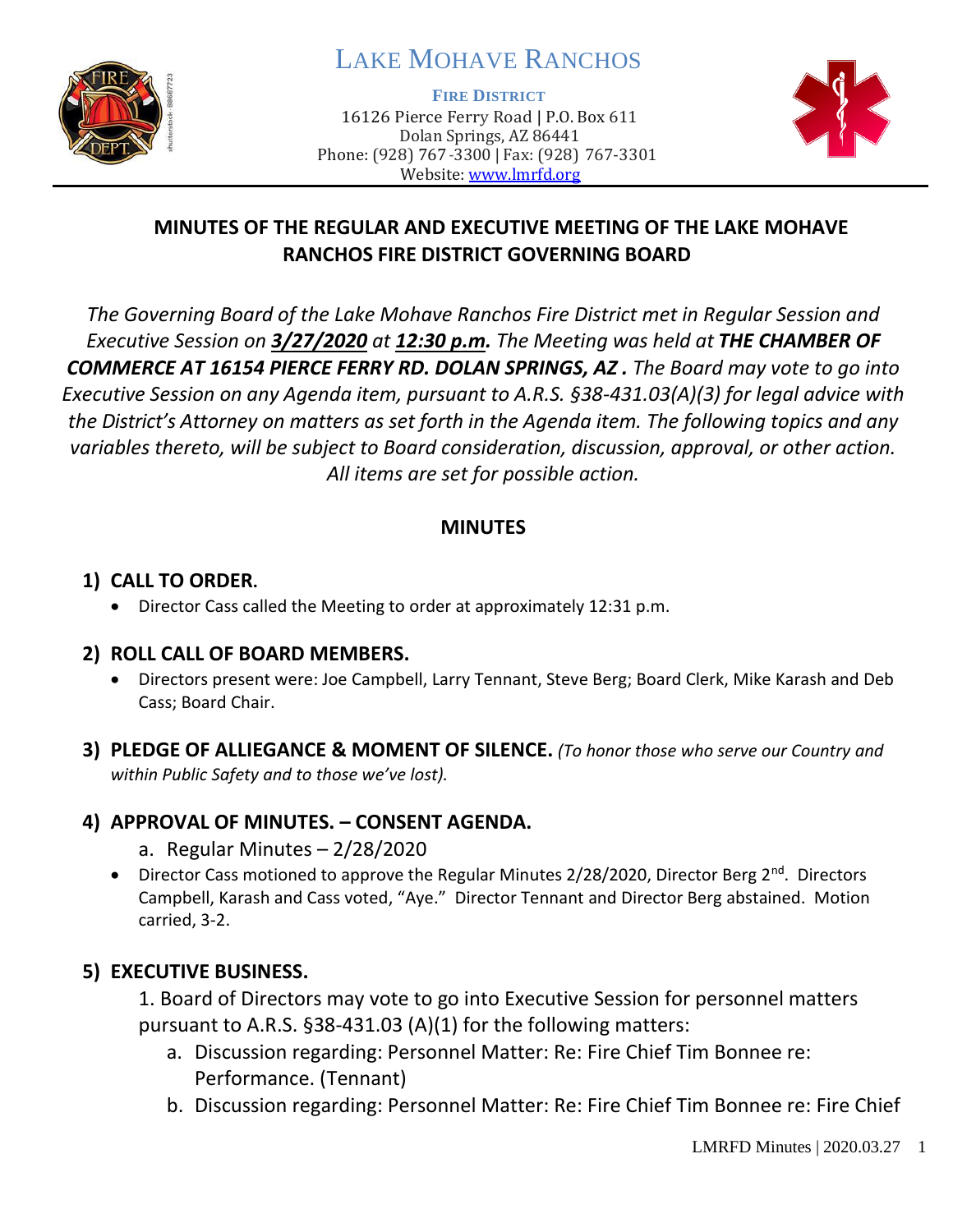

# LAKE MOHAVE RANCHOS

**FIRE DISTRICT**

16126 Pierce Ferry Road | P.O. Box 611 Dolan Springs, AZ 86441 Phone: (928) 767-3300 | Fax: (928) 767-3301 Website: [www.lmrfd.org](http://www.lmrfd.org/)



# **MINUTES OF THE REGULAR AND EXECUTIVE MEETING OF THE LAKE MOHAVE RANCHOS FIRE DISTRICT GOVERNING BOARD**

*The Governing Board of the Lake Mohave Ranchos Fire District met in Regular Session and Executive Session on 3/27/2020 at 12:30 p.m. The Meeting was held at THE CHAMBER OF COMMERCE AT 16154 PIERCE FERRY RD. DOLAN SPRINGS, AZ . The Board may vote to go into Executive Session on any Agenda item, pursuant to A.R.S. §38-431.03(A)(3) for legal advice with the District's Attorney on matters as set forth in the Agenda item. The following topics and any variables thereto, will be subject to Board consideration, discussion, approval, or other action. All items are set for possible action.* 

# **MINUTES**

# **1) CALL TO ORDER.**

• Director Cass called the Meeting to order at approximately 12:31 p.m.

# **2) ROLL CALL OF BOARD MEMBERS.**

- Directors present were: Joe Campbell, Larry Tennant, Steve Berg; Board Clerk, Mike Karash and Deb Cass; Board Chair.
- **3) PLEDGE OF ALLIEGANCE & MOMENT OF SILENCE.** *(To honor those who serve our Country and within Public Safety and to those we've lost).*

# **4) APPROVAL OF MINUTES. – CONSENT AGENDA.**

- a. Regular Minutes 2/28/2020
- Director Cass motioned to approve the Regular Minutes 2/28/2020, Director Berg 2<sup>nd</sup>. Directors Campbell, Karash and Cass voted, "Aye." Director Tennant and Director Berg abstained. Motion carried, 3-2.

# **5) EXECUTIVE BUSINESS.**

1. Board of Directors may vote to go into Executive Session for personnel matters pursuant to A.R.S. §38-431.03 (A)(1) for the following matters:

- a. Discussion regarding: Personnel Matter: Re: Fire Chief Tim Bonnee re: Performance. (Tennant)
- b. Discussion regarding: Personnel Matter: Re: Fire Chief Tim Bonnee re: Fire Chief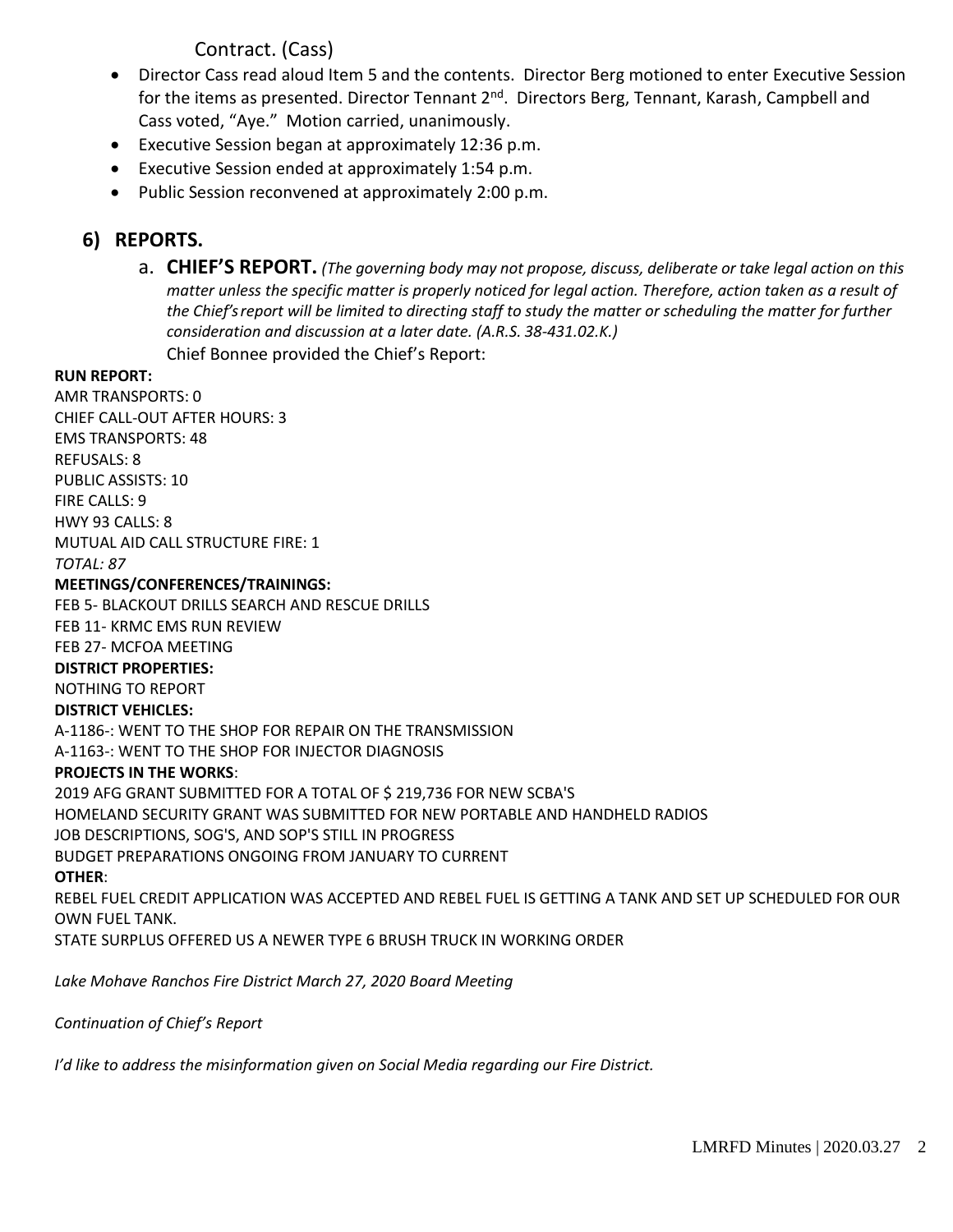# Contract. (Cass)

- Director Cass read aloud Item 5 and the contents. Director Berg motioned to enter Executive Session for the items as presented. Director Tennant 2<sup>nd</sup>. Directors Berg, Tennant, Karash, Campbell and Cass voted, "Aye." Motion carried, unanimously.
- Executive Session began at approximately 12:36 p.m.
- Executive Session ended at approximately 1:54 p.m.
- Public Session reconvened at approximately 2:00 p.m.

# **6) REPORTS.**

a. **CHIEF'S REPORT.** *(The governing body may not propose, discuss, deliberate or take legal action on this matter unless the specific matter is properly noticed for legal action. Therefore, action taken as a result of the Chief's report will be limited to directing staff to study the matter or scheduling the matter for further consideration and discussion at a later date. (A.R.S. 38-431.02.K.)* Chief Bonnee provided the Chief's Report:

#### **RUN REPORT:**

AMR TRANSPORTS: 0 CHIEF CALL-OUT AFTER HOURS: 3 EMS TRANSPORTS: 48 REFUSALS: 8 PUBLIC ASSISTS: 10 FIRE CALLS: 9 HWY 93 CALLS: 8 MUTUAL AID CALL STRUCTURE FIRE: 1 *TOTAL: 87*

#### **MEETINGS/CONFERENCES/TRAININGS:**

FEB 5- BLACKOUT DRILLS SEARCH AND RESCUE DRILLS FEB 11- KRMC EMS RUN REVIEW

FEB 27- MCFOA MEETING

#### **DISTRICT PROPERTIES:**

NOTHING TO REPORT

#### **DISTRICT VEHICLES:**

A-1186-: WENT TO THE SHOP FOR REPAIR ON THE TRANSMISSION A-1163-: WENT TO THE SHOP FOR INJECTOR DIAGNOSIS

#### **PROJECTS IN THE WORKS**:

2019 AFG GRANT SUBMITTED FOR A TOTAL OF \$ 219,736 FOR NEW SCBA'S HOMELAND SECURITY GRANT WAS SUBMITTED FOR NEW PORTABLE AND HANDHELD RADIOS JOB DESCRIPTIONS, SOG'S, AND SOP'S STILL IN PROGRESS BUDGET PREPARATIONS ONGOING FROM JANUARY TO CURRENT **OTHER**: REBEL FUEL CREDIT APPLICATION WAS ACCEPTED AND REBEL FUEL IS GETTING A TANK AND SET UP SCHEDULED FOR OUR OWN FUEL TANK.

STATE SURPLUS OFFERED US A NEWER TYPE 6 BRUSH TRUCK IN WORKING ORDER

*Lake Mohave Ranchos Fire District March 27, 2020 Board Meeting* 

*Continuation of Chief's Report* 

*I'd like to address the misinformation given on Social Media regarding our Fire District.*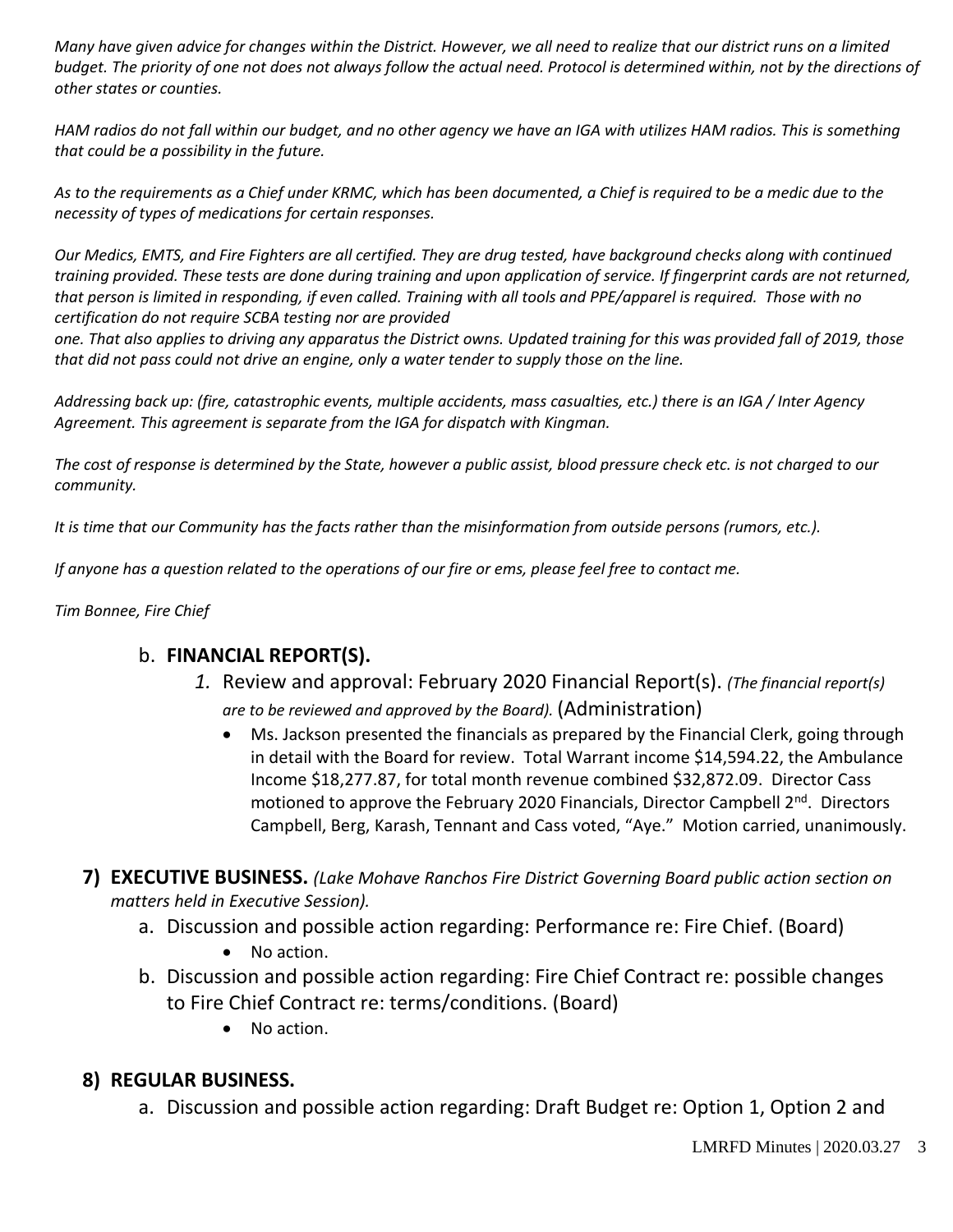*Many have given advice for changes within the District. However, we all need to realize that our district runs on a limited budget. The priority of one not does not always follow the actual need. Protocol is determined within, not by the directions of other states or counties.* 

*HAM radios do not fall within our budget, and no other agency we have an IGA with utilizes HAM radios. This is something that could be a possibility in the future.* 

*As to the requirements as a Chief under KRMC, which has been documented, a Chief is required to be a medic due to the necessity of types of medications for certain responses.* 

*Our Medics, EMTS, and Fire Fighters are all certified. They are drug tested, have background checks along with continued training provided. These tests are done during training and upon application of service. If fingerprint cards are not returned, that person is limited in responding, if even called. Training with all tools and PPE/apparel is required. Those with no certification do not require SCBA testing nor are provided* 

*one. That also applies to driving any apparatus the District owns. Updated training for this was provided fall of 2019, those that did not pass could not drive an engine, only a water tender to supply those on the line.* 

*Addressing back up: (fire, catastrophic events, multiple accidents, mass casualties, etc.) there is an IGA / Inter Agency Agreement. This agreement is separate from the IGA for dispatch with Kingman.* 

*The cost of response is determined by the State, however a public assist, blood pressure check etc. is not charged to our community.* 

*It is time that our Community has the facts rather than the misinformation from outside persons (rumors, etc.).* 

*If anyone has a question related to the operations of our fire or ems, please feel free to contact me.* 

#### *Tim Bonnee, Fire Chief*

### b. **FINANCIAL REPORT(S).**

- *1.* Review and approval: February 2020 Financial Report(s). *(The financial report(s) are to be reviewed and approved by the Board).* (Administration)
	- Ms. Jackson presented the financials as prepared by the Financial Clerk, going through in detail with the Board for review. Total Warrant income \$14,594.22, the Ambulance Income \$18,277.87, for total month revenue combined \$32,872.09. Director Cass motioned to approve the February 2020 Financials, Director Campbell 2<sup>nd</sup>. Directors Campbell, Berg, Karash, Tennant and Cass voted, "Aye." Motion carried, unanimously.
- **7) EXECUTIVE BUSINESS.** *(Lake Mohave Ranchos Fire District Governing Board public action section on matters held in Executive Session).*
	- a. Discussion and possible action regarding: Performance re: Fire Chief. (Board)
		- No action.
	- b. Discussion and possible action regarding: Fire Chief Contract re: possible changes to Fire Chief Contract re: terms/conditions. (Board)
		- No action.

### **8) REGULAR BUSINESS.**

a. Discussion and possible action regarding: Draft Budget re: Option 1, Option 2 and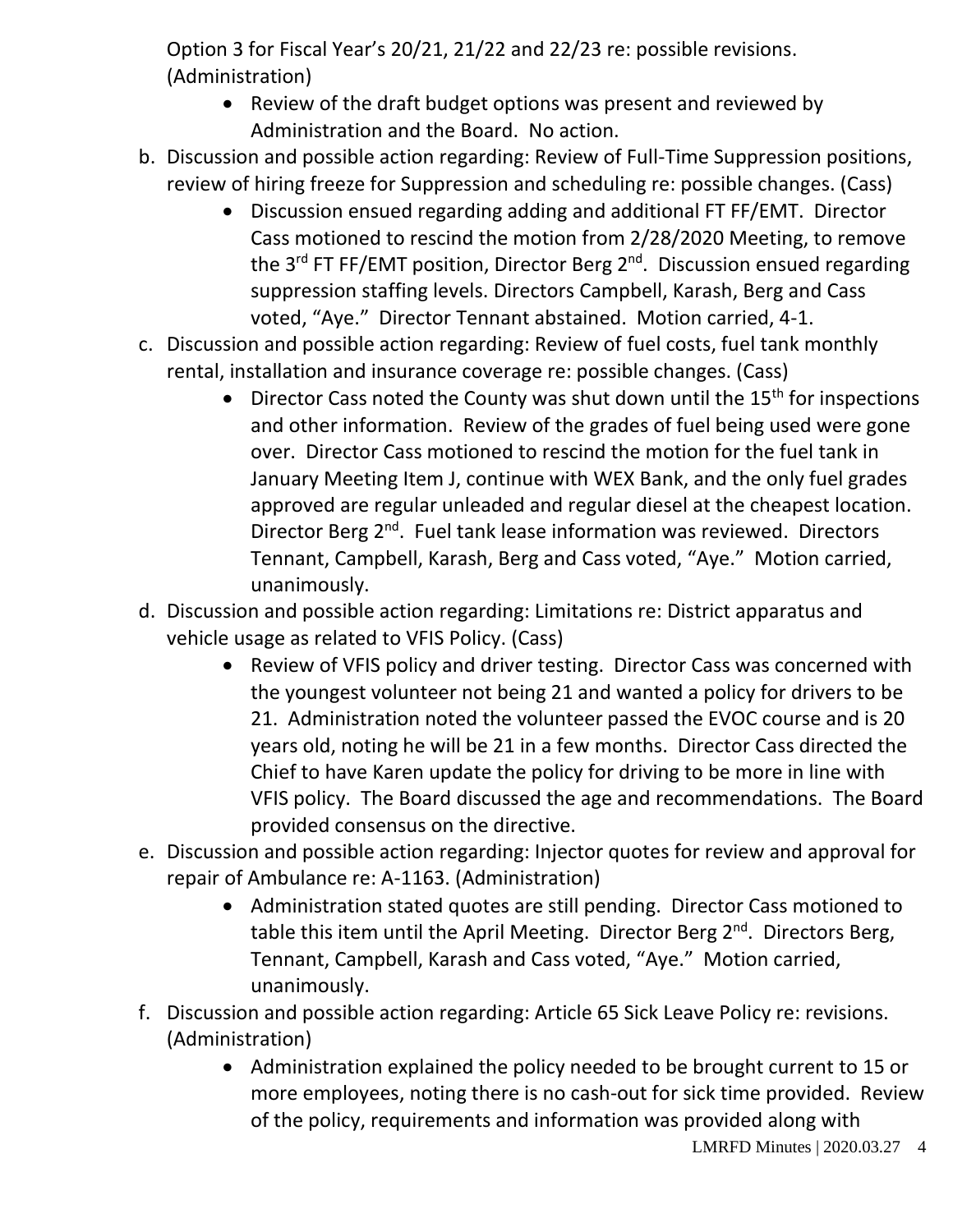Option 3 for Fiscal Year's 20/21, 21/22 and 22/23 re: possible revisions. (Administration)

- Review of the draft budget options was present and reviewed by Administration and the Board. No action.
- b. Discussion and possible action regarding: Review of Full-Time Suppression positions, review of hiring freeze for Suppression and scheduling re: possible changes. (Cass)
	- Discussion ensued regarding adding and additional FT FF/EMT. Director Cass motioned to rescind the motion from 2/28/2020 Meeting, to remove the 3<sup>rd</sup> FT FF/EMT position, Director Berg 2<sup>nd</sup>. Discussion ensued regarding suppression staffing levels. Directors Campbell, Karash, Berg and Cass voted, "Aye." Director Tennant abstained. Motion carried, 4-1.
- c. Discussion and possible action regarding: Review of fuel costs, fuel tank monthly rental, installation and insurance coverage re: possible changes. (Cass)
	- Director Cass noted the County was shut down until the  $15<sup>th</sup>$  for inspections and other information. Review of the grades of fuel being used were gone over. Director Cass motioned to rescind the motion for the fuel tank in January Meeting Item J, continue with WEX Bank, and the only fuel grades approved are regular unleaded and regular diesel at the cheapest location. Director Berg 2<sup>nd</sup>. Fuel tank lease information was reviewed. Directors Tennant, Campbell, Karash, Berg and Cass voted, "Aye." Motion carried, unanimously.
- d. Discussion and possible action regarding: Limitations re: District apparatus and vehicle usage as related to VFIS Policy. (Cass)
	- Review of VFIS policy and driver testing. Director Cass was concerned with the youngest volunteer not being 21 and wanted a policy for drivers to be 21. Administration noted the volunteer passed the EVOC course and is 20 years old, noting he will be 21 in a few months. Director Cass directed the Chief to have Karen update the policy for driving to be more in line with VFIS policy. The Board discussed the age and recommendations. The Board provided consensus on the directive.
- e. Discussion and possible action regarding: Injector quotes for review and approval for repair of Ambulance re: A-1163. (Administration)
	- Administration stated quotes are still pending. Director Cass motioned to table this item until the April Meeting. Director Berg 2<sup>nd</sup>. Directors Berg, Tennant, Campbell, Karash and Cass voted, "Aye." Motion carried, unanimously.
- f. Discussion and possible action regarding: Article 65 Sick Leave Policy re: revisions. (Administration)
	- Administration explained the policy needed to be brought current to 15 or more employees, noting there is no cash-out for sick time provided. Review of the policy, requirements and information was provided along with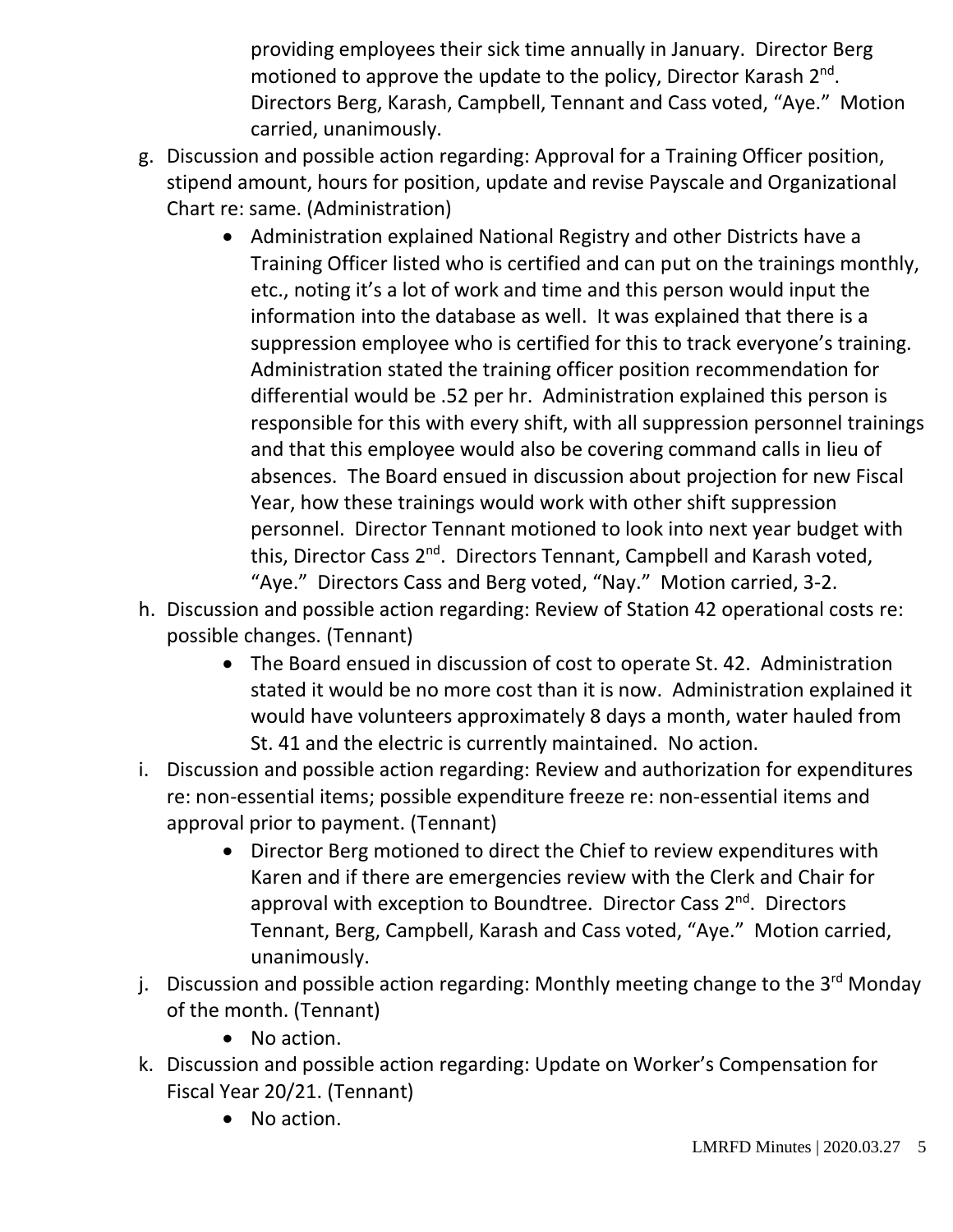providing employees their sick time annually in January. Director Berg motioned to approve the update to the policy, Director Karash 2<sup>nd</sup>. Directors Berg, Karash, Campbell, Tennant and Cass voted, "Aye." Motion carried, unanimously.

- g. Discussion and possible action regarding: Approval for a Training Officer position, stipend amount, hours for position, update and revise Payscale and Organizational Chart re: same. (Administration)
	- Administration explained National Registry and other Districts have a Training Officer listed who is certified and can put on the trainings monthly, etc., noting it's a lot of work and time and this person would input the information into the database as well. It was explained that there is a suppression employee who is certified for this to track everyone's training. Administration stated the training officer position recommendation for differential would be .52 per hr. Administration explained this person is responsible for this with every shift, with all suppression personnel trainings and that this employee would also be covering command calls in lieu of absences. The Board ensued in discussion about projection for new Fiscal Year, how these trainings would work with other shift suppression personnel. Director Tennant motioned to look into next year budget with this, Director Cass 2<sup>nd</sup>. Directors Tennant, Campbell and Karash voted, "Aye." Directors Cass and Berg voted, "Nay." Motion carried, 3-2.
- h. Discussion and possible action regarding: Review of Station 42 operational costs re: possible changes. (Tennant)
	- The Board ensued in discussion of cost to operate St. 42. Administration stated it would be no more cost than it is now. Administration explained it would have volunteers approximately 8 days a month, water hauled from St. 41 and the electric is currently maintained. No action.
- i. Discussion and possible action regarding: Review and authorization for expenditures re: non-essential items; possible expenditure freeze re: non-essential items and approval prior to payment. (Tennant)
	- Director Berg motioned to direct the Chief to review expenditures with Karen and if there are emergencies review with the Clerk and Chair for approval with exception to Boundtree. Director Cass 2<sup>nd</sup>. Directors Tennant, Berg, Campbell, Karash and Cass voted, "Aye." Motion carried, unanimously.
- j. Discussion and possible action regarding: Monthly meeting change to the  $3<sup>rd</sup>$  Monday of the month. (Tennant)
	- No action.
- k. Discussion and possible action regarding: Update on Worker's Compensation for Fiscal Year 20/21. (Tennant)
	- No action.